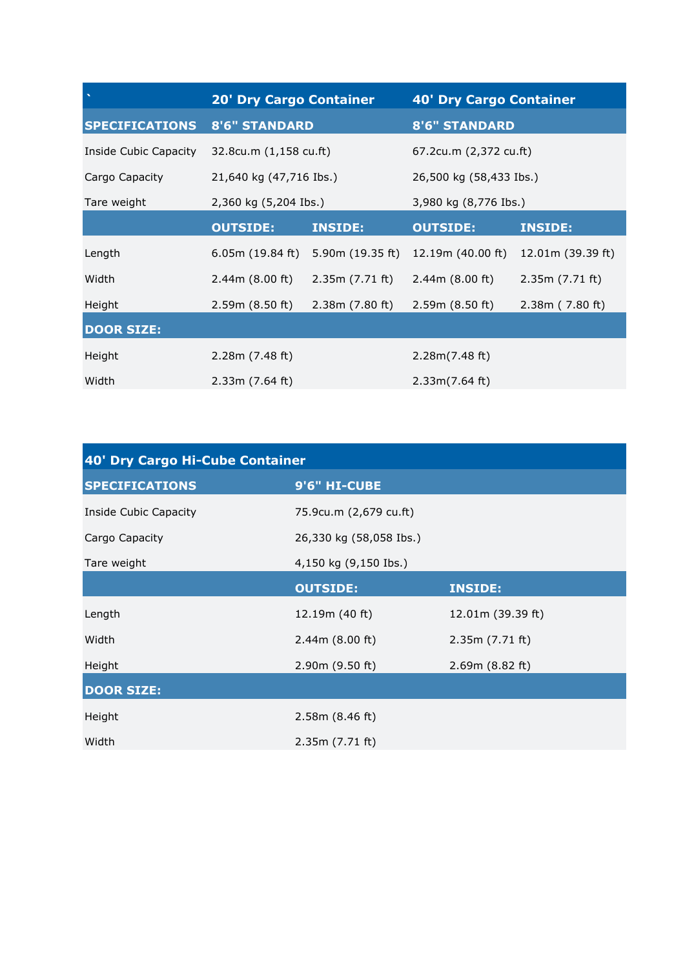|                       | <b>20' Dry Cargo Container</b> |                  | <b>40' Dry Cargo Container</b> |                   |
|-----------------------|--------------------------------|------------------|--------------------------------|-------------------|
| <b>SPECIFICATIONS</b> | <b>8'6" STANDARD</b>           |                  | <b>8'6" STANDARD</b>           |                   |
| Inside Cubic Capacity | 32.8cu.m (1,158 cu.ft)         |                  | 67.2cu.m (2,372 cu.ft)         |                   |
| Cargo Capacity        | 21,640 kg (47,716 Ibs.)        |                  | 26,500 kg (58,433 Ibs.)        |                   |
| Tare weight           | 2,360 kg (5,204 Ibs.)          |                  | 3,980 kg (8,776 Ibs.)          |                   |
|                       | <b>OUTSIDE:</b>                | <b>INSIDE:</b>   | <b>OUTSIDE:</b>                | <b>INSIDE:</b>    |
| Length                | 6.05m (19.84 ft)               | 5.90m (19.35 ft) | 12.19m (40.00 ft)              | 12.01m (39.39 ft) |
| Width                 | 2.44m(8.00 ft)                 | 2.35m (7.71 ft)  | 2.44m(8.00 ft)                 | 2.35m(7.71 ft)    |
| Height                | 2.59m (8.50 ft)                | 2.38m(7.80 ft)   | 2.59m (8.50 ft)                | 2.38m(7.80 ft)    |
| <b>DOOR SIZE:</b>     |                                |                  |                                |                   |
| Height                | 2.28m(7.48 ft)                 |                  | 2.28m(7.48 ft)                 |                   |
| Width                 | 2.33m(7.64 ft)                 |                  | 2.33m(7.64 ft)                 |                   |

| 40' Dry Cargo Hi-Cube Container |                         |                   |  |  |
|---------------------------------|-------------------------|-------------------|--|--|
| <b>SPECIFICATIONS</b>           | 9'6" HI-CUBE            |                   |  |  |
| Inside Cubic Capacity           | 75.9cu.m (2,679 cu.ft)  |                   |  |  |
| Cargo Capacity                  | 26,330 kg (58,058 Ibs.) |                   |  |  |
| Tare weight                     | 4,150 kg (9,150 Ibs.)   |                   |  |  |
|                                 | <b>OUTSIDE:</b>         | <b>INSIDE:</b>    |  |  |
| Length                          | 12.19m (40 ft)          | 12.01m (39.39 ft) |  |  |
| Width                           | 2.44m(8.00 ft)          | 2.35m(7.71 ft)    |  |  |
| Height                          | 2.90m (9.50 ft)         | 2.69m (8.82 ft)   |  |  |
| <b>DOOR SIZE:</b>               |                         |                   |  |  |
| Height                          | 2.58m (8.46 ft)         |                   |  |  |
| Width                           | 2.35m (7.71 ft)         |                   |  |  |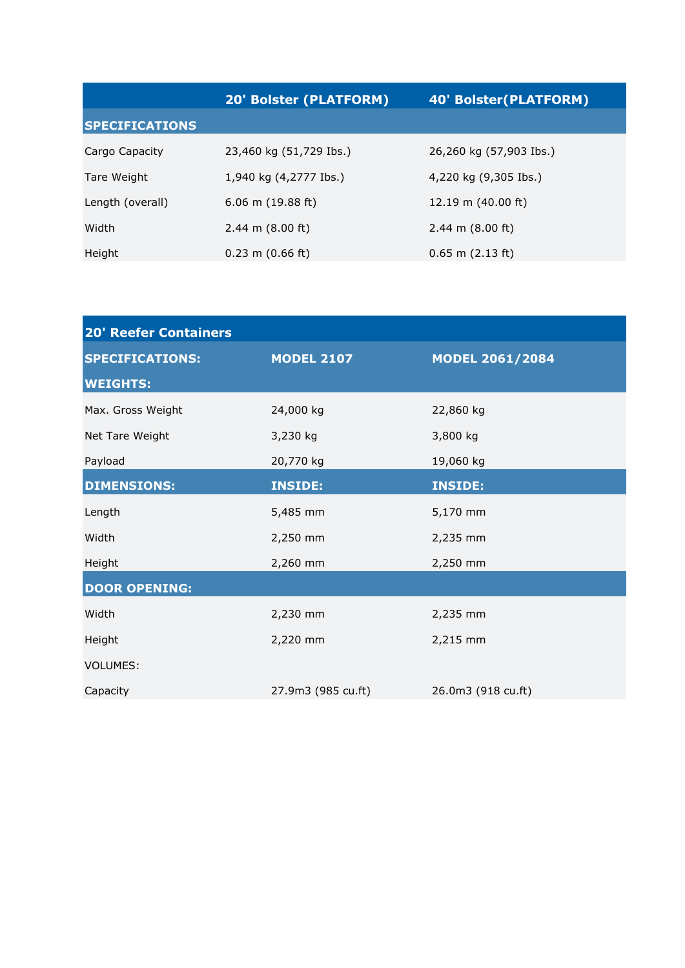|                       | <b>20' Bolster (PLATFORM)</b> | <b>40' Bolster (PLATFORM)</b> |  |
|-----------------------|-------------------------------|-------------------------------|--|
| <b>SPECIFICATIONS</b> |                               |                               |  |
| Cargo Capacity        | 23,460 kg (51,729 Ibs.)       | 26,260 kg (57,903 Ibs.)       |  |
| Tare Weight           | 1,940 kg (4,2777 Ibs.)        | 4,220 kg (9,305 Ibs.)         |  |
| Length (overall)      | $6.06$ m $(19.88$ ft)         | 12.19 m $(40.00 \text{ ft})$  |  |
| Width                 | 2.44 m $(8.00 \text{ ft})$    | 2.44 m $(8.00 \text{ ft})$    |  |
| Height                | $0.23$ m $(0.66$ ft)          | $0.65$ m $(2.13$ ft)          |  |

| <b>20' Reefer Containers</b> |                    |                        |  |  |
|------------------------------|--------------------|------------------------|--|--|
| <b>SPECIFICATIONS:</b>       | <b>MODEL 2107</b>  | <b>MODEL 2061/2084</b> |  |  |
| <b>WEIGHTS:</b>              |                    |                        |  |  |
| Max. Gross Weight            | 24,000 kg          | 22,860 kg              |  |  |
| Net Tare Weight              | 3,230 kg           | 3,800 kg               |  |  |
| Payload                      | 20,770 kg          | 19,060 kg              |  |  |
| <b>DIMENSIONS:</b>           | <b>INSIDE:</b>     | <b>INSIDE:</b>         |  |  |
| Length                       | 5,485 mm           | 5,170 mm               |  |  |
| Width                        | 2,250 mm           | 2,235 mm               |  |  |
| Height                       | 2,260 mm           | 2,250 mm               |  |  |
| <b>DOOR OPENING:</b>         |                    |                        |  |  |
| Width                        | 2,230 mm           | 2,235 mm               |  |  |
| Height                       | 2,220 mm           | 2,215 mm               |  |  |
| <b>VOLUMES:</b>              |                    |                        |  |  |
| Capacity                     | 27.9m3 (985 cu.ft) | 26.0m3 (918 cu.ft)     |  |  |